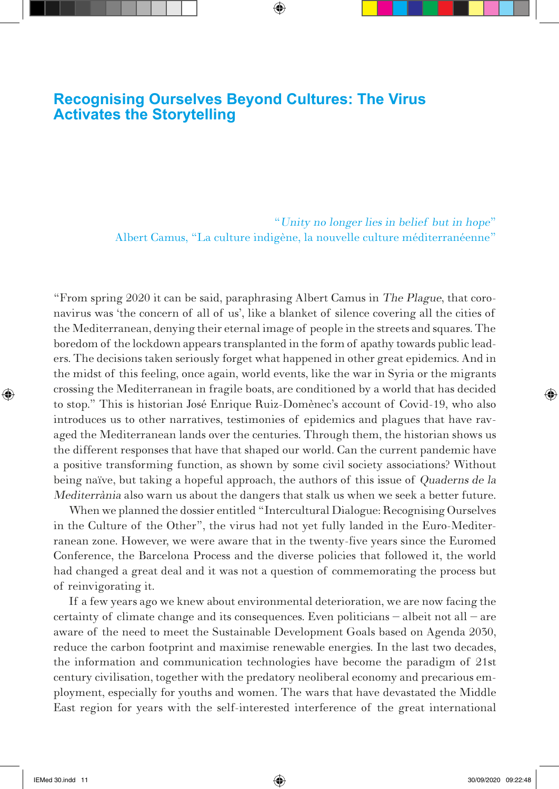# **Recognising Ourselves Beyond Cultures: The Virus Activates the Storytelling**

⇔

"Unity no longer lies in belief but in hope" Albert Camus, "La culture indigène, la nouvelle culture méditerranéenne"

"From spring 2020 it can be said, paraphrasing Albert Camus in The Plague, that coronavirus was 'the concern of all of us', like a blanket of silence covering all the cities of the Mediterranean, denying their eternal image of people in the streets and squares. The boredom of the lockdown appears transplanted in the form of apathy towards public leaders. The decisions taken seriously forget what happened in other great epidemics. And in the midst of this feeling, once again, world events, like the war in Syria or the migrants crossing the Mediterranean in fragile boats, are conditioned by a world that has decided to stop." This is historian José Enrique Ruiz-Domènec's account of Covid-19, who also introduces us to other narratives, testimonies of epidemics and plagues that have ravaged the Mediterranean lands over the centuries. Through them, the historian shows us the different responses that have that shaped our world. Can the current pandemic have a positive transforming function, as shown by some civil society associations? Without being naïve, but taking a hopeful approach, the authors of this issue of Quaderns de la Mediterrània also warn us about the dangers that stalk us when we seek a better future.

When we planned the dossier entitled "Intercultural Dialogue: Recognising Ourselves in the Culture of the Other", the virus had not yet fully landed in the Euro-Mediterranean zone. However, we were aware that in the twenty-five years since the Euromed Conference, the Barcelona Process and the diverse policies that followed it, the world had changed a great deal and it was not a question of commemorating the process but of reinvigorating it.

If a few years ago we knew about environmental deterioration, we are now facing the certainty of climate change and its consequences. Even politicians – albeit not all – are aware of the need to meet the Sustainable Development Goals based on Agenda 2030, reduce the carbon footprint and maximise renewable energies. In the last two decades, the information and communication technologies have become the paradigm of 21st century civilisation, together with the predatory neoliberal economy and precarious employment, especially for youths and women. The wars that have devastated the Middle East region for years with the self-interested interference of the great international

⊕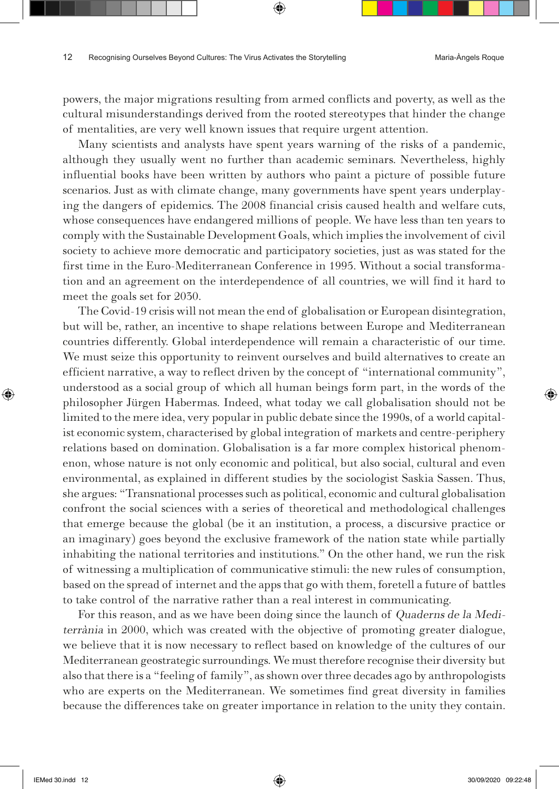powers, the major migrations resulting from armed conflicts and poverty, as well as the cultural misunderstandings derived from the rooted stereotypes that hinder the change of mentalities, are very well known issues that require urgent attention.

⊕

Many scientists and analysts have spent years warning of the risks of a pandemic, although they usually went no further than academic seminars. Nevertheless, highly influential books have been written by authors who paint a picture of possible future scenarios. Just as with climate change, many governments have spent years underplaying the dangers of epidemics. The 2008 financial crisis caused health and welfare cuts, whose consequences have endangered millions of people. We have less than ten years to comply with the Sustainable Development Goals, which implies the involvement of civil society to achieve more democratic and participatory societies, just as was stated for the first time in the Euro-Mediterranean Conference in 1995. Without a social transformation and an agreement on the interdependence of all countries, we will find it hard to meet the goals set for 2030.

The Covid-19 crisis will not mean the end of globalisation or European disintegration, but will be, rather, an incentive to shape relations between Europe and Mediterranean countries differently. Global interdependence will remain a characteristic of our time. We must seize this opportunity to reinvent ourselves and build alternatives to create an efficient narrative, a way to reflect driven by the concept of "international community", understood as a social group of which all human beings form part, in the words of the philosopher Jürgen Habermas. Indeed, what today we call globalisation should not be limited to the mere idea, very popular in public debate since the 1990s, of a world capitalist economic system, characterised by global integration of markets and centre-periphery relations based on domination. Globalisation is a far more complex historical phenomenon, whose nature is not only [economic and political, but also social, cultural and even](https://www.veryshortintroductions.com/view/10.1093/actrade/9780198779551.001.0001/actrade-9780198779551) [environmental](https://www.veryshortintroductions.com/view/10.1093/actrade/9780198779551.001.0001/actrade-9780198779551), as explained in different studies by the sociologist Saskia Sassen. Thus, she argues: "Transnational processes such as political, economic and cultural globalisation confront the social sciences with a series of theoretical and methodological challenges that emerge because the global (be it an institution, a process, a discursive practice or an imaginary) goes beyond the exclusive framework of the nation state while partially inhabiting the national territories and institutions." On the other hand, we run the risk of witnessing a multiplication of communicative stimuli: the new rules of consumption, based on the spread of internet and the apps that go with them, foretell a future of battles to take control of the narrative rather than a real interest in communicating.

For this reason, and as we have been doing since the launch of Quaderns de la Mediterrània in 2000, which was created with the objective of promoting greater dialogue, we believe that it is now necessary to reflect based on knowledge of the cultures of our Mediterranean geostrategic surroundings. We must therefore recognise their diversity but also that there is a "feeling of family", as shown over three decades ago by anthropologists who are experts on the Mediterranean. We sometimes find great diversity in families because the differences take on greater importance in relation to the unity they contain.

⊕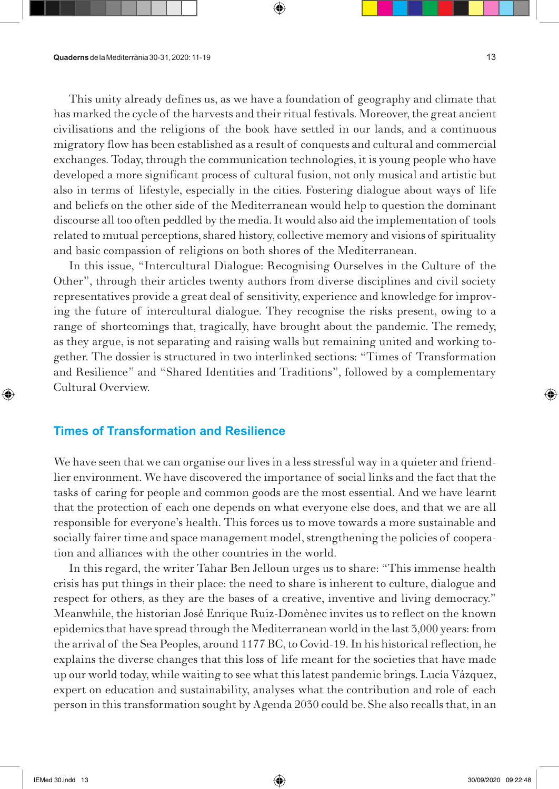This unity already defines us, as we have a foundation of geography and climate that has marked the cycle of the harvests and their ritual festivals. Moreover, the great ancient civilisations and the religions of the book have settled in our lands, and a continuous migratory flow has been established as a result of conquests and cultural and commercial exchanges. Today, through the communication technologies, it is young people who have developed a more significant process of cultural fusion, not only musical and artistic but also in terms of lifestyle, especially in the cities. Fostering dialogue about ways of life and beliefs on the other side of the Mediterranean would help to question the dominant discourse all too often peddled by the media. It would also aid the implementation of tools related to mutual perceptions, shared history, collective memory and visions of spirituality and basic compassion of religions on both shores of the Mediterranean.

⇔

In this issue, "Intercultural Dialogue: Recognising Ourselves in the Culture of the Other", through their articles twenty authors from diverse disciplines and civil society representatives provide a great deal of sensitivity, experience and knowledge for improving the future of intercultural dialogue. They recognise the risks present, owing to a range of shortcomings that, tragically, have brought about the pandemic. The remedy, as they argue, is not separating and raising walls but remaining united and working together. The dossier is structured in two interlinked sections: "Times of Transformation and Resilience" and "Shared Identities and Traditions", followed by a complementary Cultural Overview.

### **Times of Transformation and Resilience**

We have seen that we can organise our lives in a less stressful way in a quieter and friendlier environment. We have discovered the importance of social links and the fact that the tasks of caring for people and common goods are the most essential. And we have learnt that the protection of each one depends on what everyone else does, and that we are all responsible for everyone's health. This forces us to move towards a more sustainable and socially fairer time and space management model, strengthening the policies of cooperation and alliances with the other countries in the world.

In this regard, the writer Tahar Ben Jelloun urges us to share: "This immense health crisis has put things in their place: the need to share is inherent to culture, dialogue and respect for others, as they are the bases of a creative, inventive and living democracy." Meanwhile, the historian José Enrique Ruiz-Domènec invites us to reflect on the known epidemics that have spread through the Mediterranean world in the last 3,000 years: from the arrival of the Sea Peoples, around 1177 BC, to Covid-19. In his historical reflection, he explains the diverse changes that this loss of life meant for the societies that have made up our world today, while waiting to see what this latest pandemic brings. Lucía Vázquez, expert on education and sustainability, analyses what the contribution and role of each person in this transformation sought by Agenda 2030 could be. She also recalls that, in an ⊕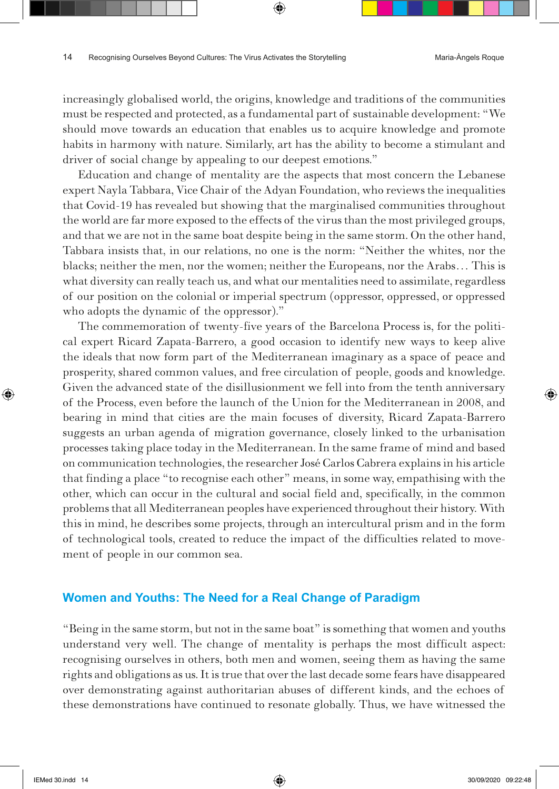increasingly globalised world, the origins, knowledge and traditions of the communities must be respected and protected, as a fundamental part of sustainable development: "We should move towards an education that enables us to acquire knowledge and promote habits in harmony with nature. Similarly, art has the ability to become a stimulant and driver of social change by appealing to our deepest emotions."

⊕

Education and change of mentality are the aspects that most concern the Lebanese expert Nayla Tabbara, Vice Chair of the Adyan Foundation, who reviews the inequalities that Covid-19 has revealed but showing that the marginalised communities throughout the world are far more exposed to the effects of the virus than the most privileged groups, and that we are not in the same boat despite being in the same storm. On the other hand, Tabbara insists that, in our relations, no one is the norm: "Neither the whites, nor the blacks; neither the men, nor the women; neither the Europeans, nor the Arabs… This is what diversity can really teach us, and what our mentalities need to assimilate, regardless of our position on the colonial or imperial spectrum (oppressor, oppressed, or oppressed who adopts the dynamic of the oppressor)."

The commemoration of twenty-five years of the Barcelona Process is, for the political expert Ricard Zapata-Barrero, a good occasion to identify new ways to keep alive the ideals that now form part of the Mediterranean imaginary as a space of peace and prosperity, shared common values, and free circulation of people, goods and knowledge. Given the advanced state of the disillusionment we fell into from the tenth anniversary of the Process, even before the launch of the Union for the Mediterranean in 2008, and bearing in mind that cities are the main focuses of diversity, Ricard Zapata-Barrero suggests an urban agenda of migration governance, closely linked to the urbanisation processes taking place today in the Mediterranean. In the same frame of mind and based on communication technologies, the researcher José Carlos Cabrera explains in his article that finding a place "to recognise each other" means, in some way, empathising with the other, which can occur in the cultural and social field and, specifically, in the common problems that all Mediterranean peoples have experienced throughout their history. With this in mind, he describes some projects, through an intercultural prism and in the form of technological tools, created to reduce the impact of the difficulties related to movement of people in our common sea.

#### **Women and Youths: The Need for a Real Change of Paradigm**

"Being in the same storm, but not in the same boat" is something that women and youths understand very well. The change of mentality is perhaps the most difficult aspect: recognising ourselves in others, both men and women, seeing them as having the same rights and obligations as us. It is true that over the last decade some fears have disappeared over demonstrating against authoritarian abuses of different kinds, and the echoes of these demonstrations have continued to resonate globally. Thus, we have witnessed the

⊕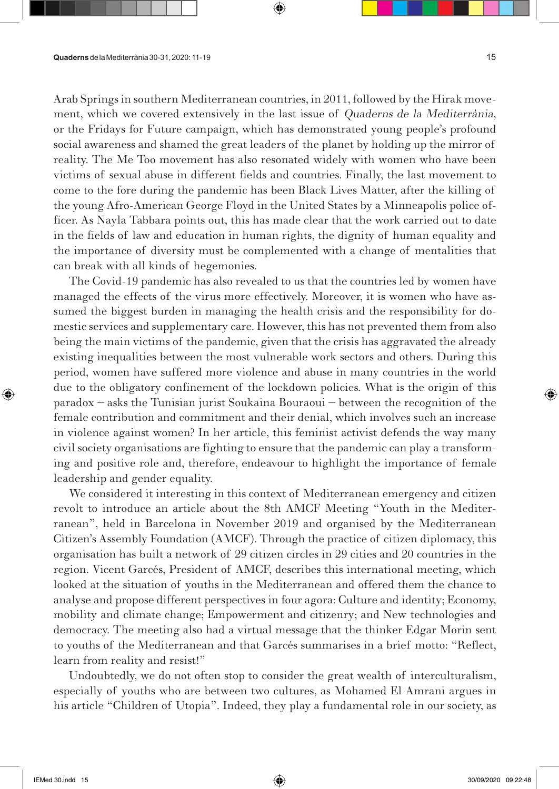Arab Springs in southern Mediterranean countries, in 2011, followed by the Hirak movement, which we covered extensively in the last issue of Quaderns de la Mediterrània, or the Fridays for Future campaign, which has demonstrated young people's profound social awareness and shamed the great leaders of the planet by holding up the mirror of reality. The Me Too movement has also resonated widely with women who have been victims of sexual abuse in different fields and countries. Finally, the last movement to come to the fore during the pandemic has been Black Lives Matter, after the killing of the young Afro-American George Floyd in the United States by a Minneapolis police officer. As Nayla Tabbara points out, this has made clear that the work carried out to date in the fields of law and education in human rights, the dignity of human equality and the importance of diversity must be complemented with a change of mentalities that can break with all kinds of hegemonies.

⊕

The Covid-19 pandemic has also revealed to us that the countries led by women have managed the effects of the virus more effectively. Moreover, it is women who have assumed the biggest burden in managing the health crisis and the responsibility for domestic services and supplementary care. However, this has not prevented them from also being the main victims of the pandemic, given that the crisis has aggravated the already existing inequalities between the most vulnerable work sectors and others. During this period, women have suffered more violence and abuse in many countries in the world due to the obligatory confinement of the lockdown policies. What is the origin of this paradox – asks the Tunisian jurist Soukaina Bouraoui – between the recognition of the female contribution and commitment and their denial, which involves such an increase in violence against women? In her article, this feminist activist defends the way many civil society organisations are fighting to ensure that the pandemic can play a transforming and positive role and, therefore, endeavour to highlight the importance of female leadership and gender equality.

We considered it interesting in this context of Mediterranean emergency and citizen revolt to introduce an article about the 8th AMCF Meeting "Youth in the Mediterranean", held in Barcelona in November 2019 and organised by the Mediterranean Citizen's Assembly Foundation (AMCF). Through the practice of citizen diplomacy, this organisation has built a network of 29 citizen circles in 29 cities and 20 countries in the region. Vicent Garcés, President of AMCF, describes this international meeting, which looked at the situation of youths in the Mediterranean and offered them the chance to analyse and propose different perspectives in four agora: Culture and identity; Economy, mobility and climate change; Empowerment and citizenry; and New technologies and democracy. The meeting also had a virtual message that the thinker Edgar Morin sent to youths of the Mediterranean and that Garcés summarises in a brief motto: "Reflect, learn from reality and resist!"

Undoubtedly, we do not often stop to consider the great wealth of interculturalism, especially of youths who are between two cultures, as Mohamed El Amrani argues in his article "Children of Utopia". Indeed, they play a fundamental role in our society, as

⊕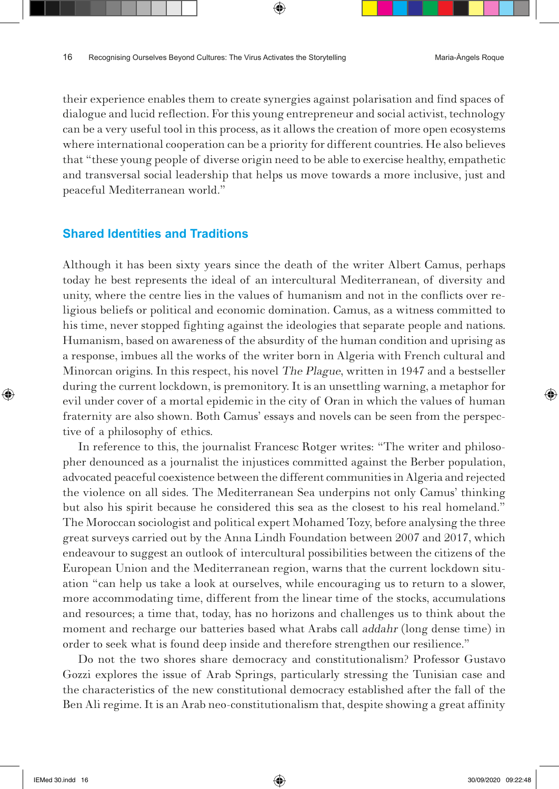their experience enables them to create synergies against polarisation and find spaces of dialogue and lucid reflection. For this young entrepreneur and social activist, technology can be a very useful tool in this process, as it allows the creation of more open ecosystems where international cooperation can be a priority for different countries. He also believes that "these young people of diverse origin need to be able to exercise healthy, empathetic and transversal social leadership that helps us move towards a more inclusive, just and peaceful Mediterranean world."

⊕

#### **Shared Identities and Traditions**

Although it has been sixty years since the death of the writer Albert Camus, perhaps today he best represents the ideal of an intercultural Mediterranean, of diversity and unity, where the centre lies in the values of humanism and not in the conflicts over religious beliefs or political and economic domination. Camus, as a witness committed to his time, never stopped fighting against the ideologies that separate people and nations. Humanism, based on awareness of the absurdity of the human condition and uprising as a response, imbues all the works of the writer born in Algeria with French cultural and Minorcan origins. In this respect, his novel The Plague, written in 1947 and a bestseller during the current lockdown, is premonitory. It is an unsettling warning, a metaphor for evil under cover of a mortal epidemic in the city of Oran in which the values of human fraternity are also shown. Both Camus' essays and novels can be seen from the perspective of a philosophy of ethics.

In reference to this, the journalist Francesc Rotger writes: "The writer and philosopher denounced as a journalist the injustices committed against the Berber population, advocated peaceful coexistence between the different communities in Algeria and rejected the violence on all sides. The Mediterranean Sea underpins not only Camus' thinking but also his spirit because he considered this sea as the closest to his real homeland." The Moroccan sociologist and political expert Mohamed Tozy, before analysing the three great surveys carried out by the Anna Lindh Foundation between 2007 and 2017, which endeavour to suggest an outlook of intercultural possibilities between the citizens of the European Union and the Mediterranean region, warns that the current lockdown situation "can help us take a look at ourselves, while encouraging us to return to a slower, more accommodating time, different from the linear time of the stocks, accumulations and resources; a time that, today, has no horizons and challenges us to think about the moment and recharge our batteries based what Arabs call addahr (long dense time) in order to seek what is found deep inside and therefore strengthen our resilience."

Do not the two shores share democracy and constitutionalism? Professor Gustavo Gozzi explores the issue of Arab Springs, particularly stressing the Tunisian case and the characteristics of the new constitutional democracy established after the fall of the Ben Ali regime. It is an Arab neo-constitutionalism that, despite showing a great affinity

⊕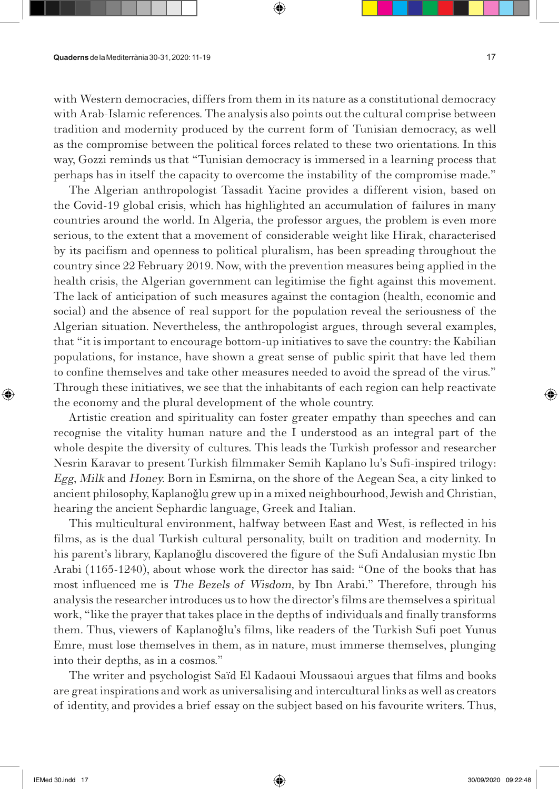with Western democracies, differs from them in its nature as a constitutional democracy with Arab-Islamic references. The analysis also points out the cultural comprise between tradition and modernity produced by the current form of Tunisian democracy, as well as the compromise between the political forces related to these two orientations. In this way, Gozzi reminds us that "Tunisian democracy is immersed in a learning process that perhaps has in itself the capacity to overcome the instability of the compromise made."

⇔

The Algerian anthropologist Tassadit Yacine provides a different vision, based on the Covid-19 global crisis, which has highlighted an accumulation of failures in many countries around the world. In Algeria, the professor argues, the problem is even more serious, to the extent that a movement of considerable weight like Hirak, characterised by its pacifism and openness to political pluralism, has been spreading throughout the country since 22 February 2019. Now, with the prevention measures being applied in the health crisis, the Algerian government can legitimise the fight against this movement. The lack of anticipation of such measures against the contagion (health, economic and social) and the absence of real support for the population reveal the seriousness of the Algerian situation. Nevertheless, the anthropologist argues, through several examples, that "it is important to encourage bottom-up initiatives to save the country: the Kabilian populations, for instance, have shown a great sense of public spirit that have led them to confine themselves and take other measures needed to avoid the spread of the virus." Through these initiatives, we see that the inhabitants of each region can help reactivate the economy and the plural development of the whole country.

Artistic creation and spirituality can foster greater empathy than speeches and can recognise the vitality human nature and the I understood as an integral part of the whole despite the diversity of cultures. This leads the Turkish professor and researcher Nesrin Karavar to present Turkish filmmaker Semih Kaplano lu's Sufi-inspired trilogy: Egg, Milk and Honey. Born in Esmirna, on the shore of the Aegean Sea, a city linked to ancient philosophy, Kaplanoǧlu grew up in a mixed neighbourhood, Jewish and Christian, hearing the ancient Sephardic language, Greek and Italian.

This multicultural environment, halfway between East and West, is reflected in his films, as is the dual Turkish cultural personality, built on tradition and modernity. In his parent's library, Kaplanoğlu discovered the figure of the Sufi Andalusian mystic Ibn Arabi (1165-1240), about whose work the director has said: "One of the books that has most influenced me is The Bezels of Wisdom, by Ibn Arabi." Therefore, through his analysis the researcher introduces us to how the director's films are themselves a spiritual work, "like the prayer that takes place in the depths of individuals and finally transforms them. Thus, viewers of Kaplanoǧlu's films, like readers of the Turkish Sufi poet Yunus Emre, must lose themselves in them, as in nature, must immerse themselves, plunging into their depths, as in a cosmos."

The writer and psychologist Saïd El Kadaoui Moussaoui argues that films and books are great inspirations and work as universalising and intercultural links as well as creators of identity, and provides a brief essay on the subject based on his favourite writers. Thus,

⊕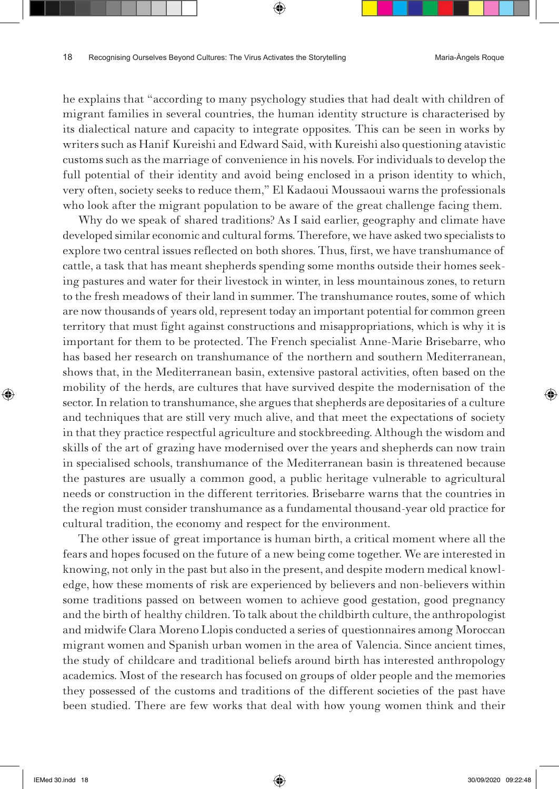he explains that "according to many psychology studies that had dealt with children of migrant families in several countries, the human identity structure is characterised by its dialectical nature and capacity to integrate opposites. This can be seen in works by writers such as Hanif Kureishi and Edward Said, with Kureishi also questioning atavistic customs such as the marriage of convenience in his novels. For individuals to develop the full potential of their identity and avoid being enclosed in a prison identity to which, very often, society seeks to reduce them," El Kadaoui Moussaoui warns the professionals who look after the migrant population to be aware of the great challenge facing them.

Why do we speak of shared traditions? As I said earlier, geography and climate have developed similar economic and cultural forms. Therefore, we have asked two specialists to explore two central issues reflected on both shores. Thus, first, we have transhumance of cattle, a task that has meant shepherds spending some months outside their homes seeking pastures and water for their livestock in winter, in less mountainous zones, to return to the fresh meadows of their land in summer. The transhumance routes, some of which are now thousands of years old, represent today an important potential for common green territory that must fight against constructions and misappropriations, which is why it is important for them to be protected. The French specialist Anne-Marie Brisebarre, who has based her research on transhumance of the northern and southern Mediterranean, shows that, in the Mediterranean basin, extensive pastoral activities, often based on the mobility of the herds, are cultures that have survived despite the modernisation of the sector. In relation to transhumance, she argues that shepherds are depositaries of a culture and techniques that are still very much alive, and that meet the expectations of society in that they practice respectful agriculture and stockbreeding. Although the wisdom and skills of the art of grazing have modernised over the years and shepherds can now train in specialised schools, transhumance of the Mediterranean basin is threatened because the pastures are usually a common good, a public heritage vulnerable to agricultural needs or construction in the different territories. Brisebarre warns that the countries in the region must consider transhumance as a fundamental thousand-year old practice for cultural tradition, the economy and respect for the environment.

The other issue of great importance is human birth, a critical moment where all the fears and hopes focused on the future of a new being come together. We are interested in knowing, not only in the past but also in the present, and despite modern medical knowledge, how these moments of risk are experienced by believers and non-believers within some traditions passed on between women to achieve good gestation, good pregnancy and the birth of healthy children. To talk about the childbirth culture, the anthropologist and midwife Clara Moreno Llopis conducted a series of questionnaires among Moroccan migrant women and Spanish urban women in the area of Valencia. Since ancient times, the study of childcare and traditional beliefs around birth has interested anthropology academics. Most of the research has focused on groups of older people and the memories they possessed of the customs and traditions of the different societies of the past have been studied. There are few works that deal with how young women think and their

⊕